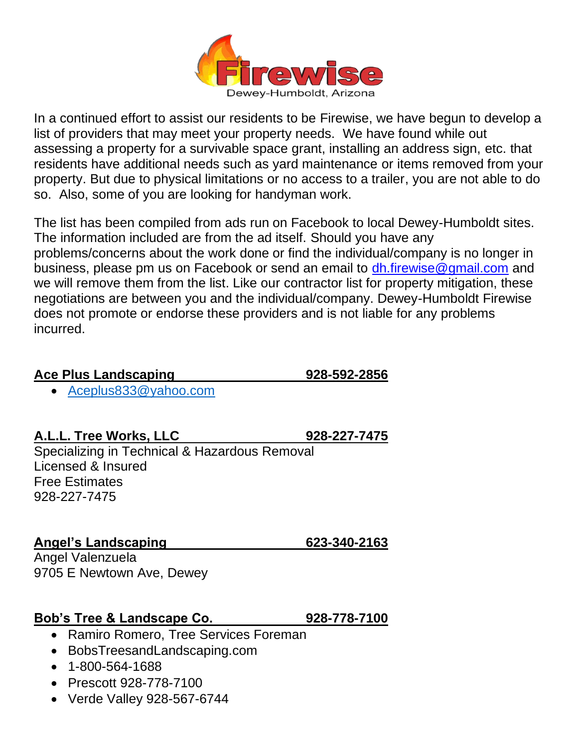

In a continued effort to assist our residents to be Firewise, we have begun to develop a list of providers that may meet your property needs. We have found while out assessing a property for a survivable space grant, installing an address sign, etc. that residents have additional needs such as yard maintenance or items removed from your property. But due to physical limitations or no access to a trailer, you are not able to do so. Also, some of you are looking for handyman work.

The list has been compiled from ads run on Facebook to local Dewey-Humboldt sites. The information included are from the ad itself. Should you have any problems/concerns about the work done or find the individual/company is no longer in business, please pm us on Facebook or send an email to [dh.firewise@gmail.com](mailto:dh.firewise@gmail.com) and we will remove them from the list. Like our contractor list for property mitigation, these negotiations are between you and the individual/company. Dewey-Humboldt Firewise does not promote or endorse these providers and is not liable for any problems incurred.

### **Ace Plus Landscaping 928-592-2856**

• [Aceplus833@yahoo.com](mailto:Aceplus833@yahoo.com)

**A.L.L. Tree Works, LLC 928-227-7475**

Specializing in Technical & Hazardous Removal Licensed & Insured Free Estimates 928-227-7475

**Angel's Landscaping 623-340-2163**

Angel Valenzuela 9705 E Newtown Ave, Dewey

# **Bob's Tree & Landscape Co. 928-778-7100**

- Ramiro Romero, Tree Services Foreman
- BobsTreesandLandscaping.com
- 1-800-564-1688
- Prescott 928-778-7100
- Verde Valley 928-567-6744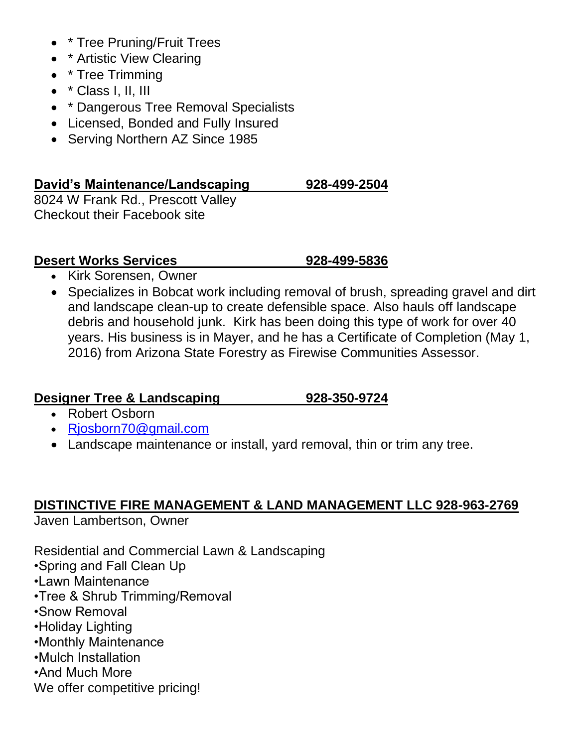- \* Tree Pruning/Fruit Trees
- \* Artistic View Clearing
- \* Tree Trimming
- \* Class I, II, III
- \* Dangerous Tree Removal Specialists
- Licensed, Bonded and Fully Insured
- Serving Northern AZ Since 1985

### **David's Maintenance/Landscaping 928-499-2504**

8024 W Frank Rd., Prescott Valley Checkout their Facebook site

### **Desert Works Services 928-499-5836**

- Kirk Sorensen, Owner
- Specializes in Bobcat work including removal of brush, spreading gravel and dirt and landscape clean-up to create defensible space. Also hauls off landscape debris and household junk. Kirk has been doing this type of work for over 40 years. His business is in Mayer, and he has a Certificate of Completion (May 1, 2016) from Arizona State Forestry as Firewise Communities Assessor.

## **Designer Tree & Landscaping 928-350-9724**

- Robert Osborn
- [Rjosborn70@gmail.com](mailto:Rjosborn70@gmail.com)
- Landscape maintenance or install, yard removal, thin or trim any tree.

## **DISTINCTIVE FIRE MANAGEMENT & LAND MANAGEMENT LLC 928-963-2769**

Javen Lambertson, Owner

Residential and Commercial Lawn & Landscaping

- •Spring and Fall Clean Up
- •Lawn Maintenance
- •Tree & Shrub Trimming/Removal
- •Snow Removal
- •Holiday Lighting
- •Monthly Maintenance
- •Mulch Installation
- •And Much More
- We offer competitive pricing!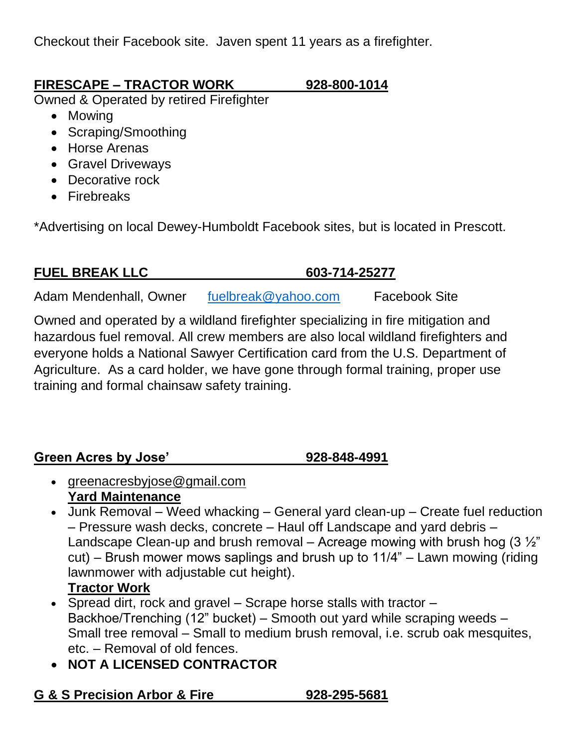Checkout their Facebook site. Javen spent 11 years as a firefighter.

# **FIRESCAPE – TRACTOR WORK 928-800-1014**

Owned & Operated by retired Firefighter

- Mowing
- Scraping/Smoothing
- Horse Arenas
- Gravel Driveways
- Decorative rock
- Firebreaks

\*Advertising on local Dewey-Humboldt Facebook sites, but is located in Prescott.

# **FUEL BREAK LLC 603-714-25277**

Adam Mendenhall, Owner [fuelbreak@yahoo.com](mailto:fuelbreak@yahoo.com) Facebook Site

Owned and operated by a wildland firefighter specializing in fire mitigation and hazardous fuel removal. All crew members are also local wildland firefighters and everyone holds a National Sawyer Certification card from the U.S. Department of Agriculture. As a card holder, we have gone through formal training, proper use training and formal chainsaw safety training.

# **Green Acres by Jose' 928-848-4991**

- greenacresbyjose@gmail.com **Yard Maintenance**
- Junk Removal Weed whacking General yard clean-up Create fuel reduction – Pressure wash decks, concrete – Haul off Landscape and yard debris – Landscape Clean-up and brush removal – Acreage mowing with brush hog  $(3\frac{1}{2})$ cut) – Brush mower mows saplings and brush up to 11/4" – Lawn mowing (riding lawnmower with adjustable cut height).

# **Tractor Work**

- Spread dirt, rock and gravel Scrape horse stalls with tractor Backhoe/Trenching (12" bucket) – Smooth out yard while scraping weeds – Small tree removal – Small to medium brush removal, i.e. scrub oak mesquites, etc. – Removal of old fences.
- **NOT A LICENSED CONTRACTOR**

# **G & S Precision Arbor & Fire 928-295-5681**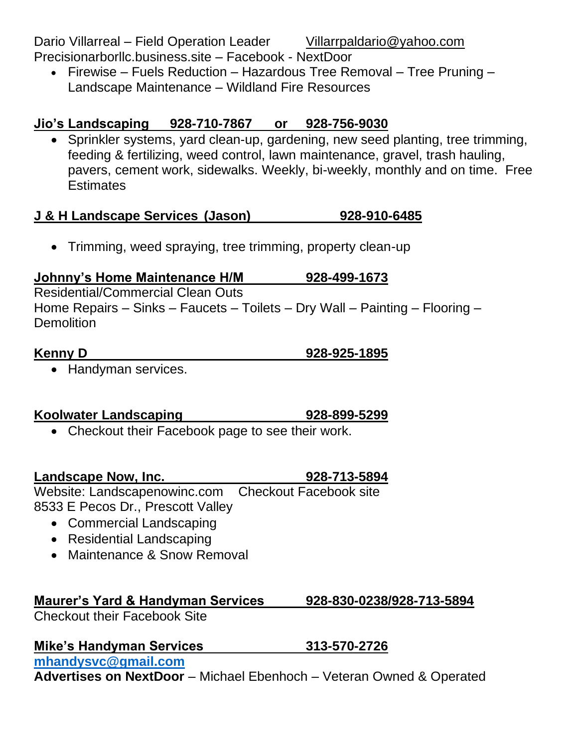Dario Villarreal – Field Operation Leader [Villarrpaldario@yahoo.com](mailto:Villarrpaldario@yahoo.com) Precisionarborllc.business.site – Facebook - NextDoor

• Firewise – Fuels Reduction – Hazardous Tree Removal – Tree Pruning – Landscape Maintenance – Wildland Fire Resources

# **Jio's Landscaping 928-710-7867 or 928-756-9030**

• Sprinkler systems, yard clean-up, gardening, new seed planting, tree trimming, feeding & fertilizing, weed control, lawn maintenance, gravel, trash hauling, pavers, cement work, sidewalks. Weekly, bi-weekly, monthly and on time. Free **Estimates** 

# **J & H Landscape Services (Jason) 928-910-6485**

• Trimming, weed spraying, tree trimming, property clean-up

# **Johnny's Home Maintenance H/M 928-499-1673**

Residential/Commercial Clean Outs Home Repairs – Sinks – Faucets – Toilets – Dry Wall – Painting – Flooring – **Demolition** 

• Handyman services.

# **Koolwater Landscaping 928-899-5299**

• Checkout their Facebook page to see their work.

**Landscape Now, Inc. 928-713-5894**

Website: Landscapenowinc.com Checkout Facebook site 8533 E Pecos Dr., Prescott Valley

- Commercial Landscaping
- Residential Landscaping
- Maintenance & Snow Removal

# **Maurer's Yard & Handyman Services 928-830-0238/928-713-5894**

Checkout their Facebook Site

# **Mike's Handyman Services 313-570-2726**

**[mhandysvc@gmail.com](mailto:mhandysvc@gmail.com)**

**Advertises on NextDoor** – Michael Ebenhoch – Veteran Owned & Operated

# **Kenny D 928-925-1895**